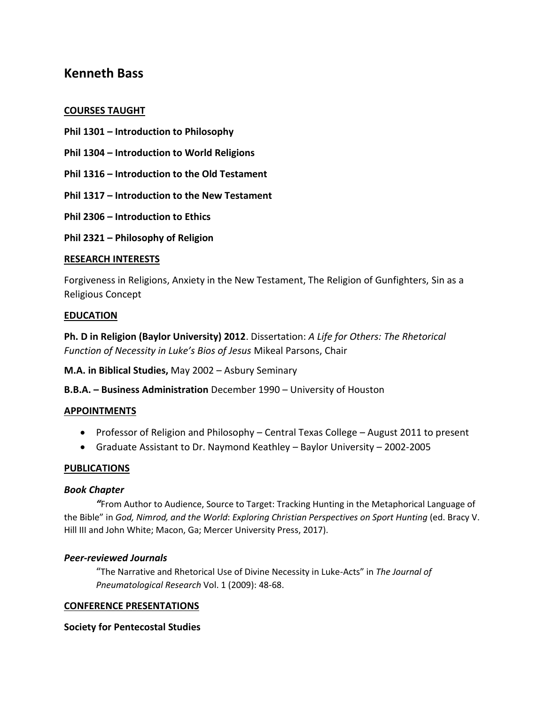# **Kenneth Bass**

### **COURSES TAUGHT**

- **Phil 1301 – Introduction to Philosophy**
- **Phil 1304 – Introduction to World Religions**
- **Phil 1316 – Introduction to the Old Testament**
- **Phil 1317 – Introduction to the New Testament**
- **Phil 2306 – Introduction to Ethics**
- **Phil 2321 – Philosophy of Religion**

### **RESEARCH INTERESTS**

Forgiveness in Religions, Anxiety in the New Testament, The Religion of Gunfighters, Sin as a Religious Concept

### **EDUCATION**

**Ph. D in Religion (Baylor University) 2012**. Dissertation: *A Life for Others: The Rhetorical Function of Necessity in Luke's Bios of Jesus* Mikeal Parsons, Chair

**M.A. in Biblical Studies,** May 2002 – Asbury Seminary

**B.B.A. – Business Administration** December 1990 – University of Houston

## **APPOINTMENTS**

- Professor of Religion and Philosophy Central Texas College August 2011 to present
- Graduate Assistant to Dr. Naymond Keathley Baylor University 2002-2005

#### **PUBLICATIONS**

### *Book Chapter*

*"*From Author to Audience, Source to Target: Tracking Hunting in the Metaphorical Language of the Bible" in *God, Nimrod, and the World*: *Exploring Christian Perspectives on Sport Hunting* (ed. Bracy V. Hill III and John White; Macon, Ga; Mercer University Press, 2017).

#### *Peer-reviewed Journals*

"The Narrative and Rhetorical Use of Divine Necessity in Luke-Acts" in *The Journal of Pneumatological Research* Vol. 1 (2009): 48-68.

#### **CONFERENCE PRESENTATIONS**

#### **Society for Pentecostal Studies**